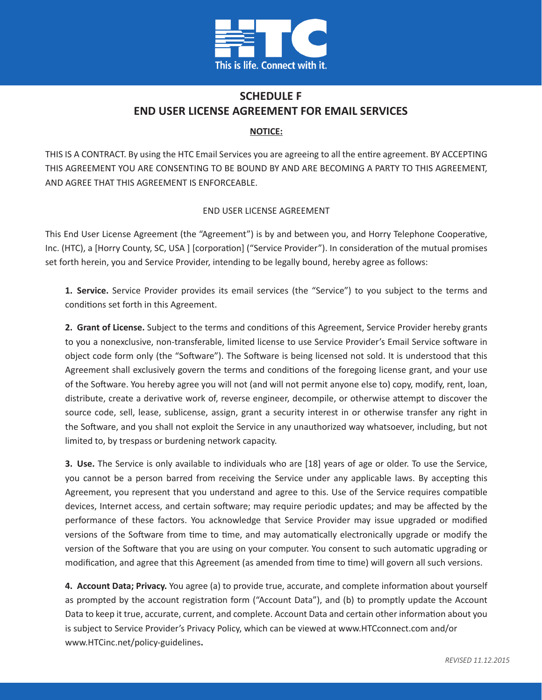

## **SCHEDULE F END USER LICENSE AGREEMENT FOR EMAIL SERVICES**

## **NOTICE:**

THIS IS A CONTRACT. By using the HTC Email Services you are agreeing to all the entire agreement. BY ACCEPTING THIS AGREEMENT YOU ARE CONSENTING TO BE BOUND BY AND ARE BECOMING A PARTY TO THIS AGREEMENT, AND AGREE THAT THIS AGREEMENT IS ENFORCEABLE.

## END USER LICENSE AGREEMENT

This End User License Agreement (the "Agreement") is by and between you, and Horry Telephone Cooperative, Inc. (HTC), a [Horry County, SC, USA ] [corporation] ("Service Provider"). In consideration of the mutual promises set forth herein, you and Service Provider, intending to be legally bound, hereby agree as follows:

**1. Service.** Service Provider provides its email services (the "Service") to you subject to the terms and conditions set forth in this Agreement.

**2. Grant of License.** Subject to the terms and conditions of this Agreement, Service Provider hereby grants to you a nonexclusive, non-transferable, limited license to use Service Provider's Email Service software in object code form only (the "Software"). The Software is being licensed not sold. It is understood that this Agreement shall exclusively govern the terms and conditions of the foregoing license grant, and your use of the Software. You hereby agree you will not (and will not permit anyone else to) copy, modify, rent, loan, distribute, create a derivative work of, reverse engineer, decompile, or otherwise attempt to discover the source code, sell, lease, sublicense, assign, grant a security interest in or otherwise transfer any right in the Software, and you shall not exploit the Service in any unauthorized way whatsoever, including, but not limited to, by trespass or burdening network capacity.

**3. Use.** The Service is only available to individuals who are [18] years of age or older. To use the Service, you cannot be a person barred from receiving the Service under any applicable laws. By accepting this Agreement, you represent that you understand and agree to this. Use of the Service requires compatible devices, Internet access, and certain software; may require periodic updates; and may be affected by the performance of these factors. You acknowledge that Service Provider may issue upgraded or modified versions of the Software from time to time, and may automatically electronically upgrade or modify the version of the Software that you are using on your computer. You consent to such automatic upgrading or modification, and agree that this Agreement (as amended from time to time) will govern all such versions.

**4. Account Data; Privacy.** You agree (a) to provide true, accurate, and complete information about yourself as prompted by the account registration form ("Account Data"), and (b) to promptly update the Account Data to keep it true, accurate, current, and complete. Account Data and certain other information about you is subject to Service Provider's Privacy Policy, which can be viewed at www.HTCconnect.com and/or www.HTCinc.net/policy-guidelines**.**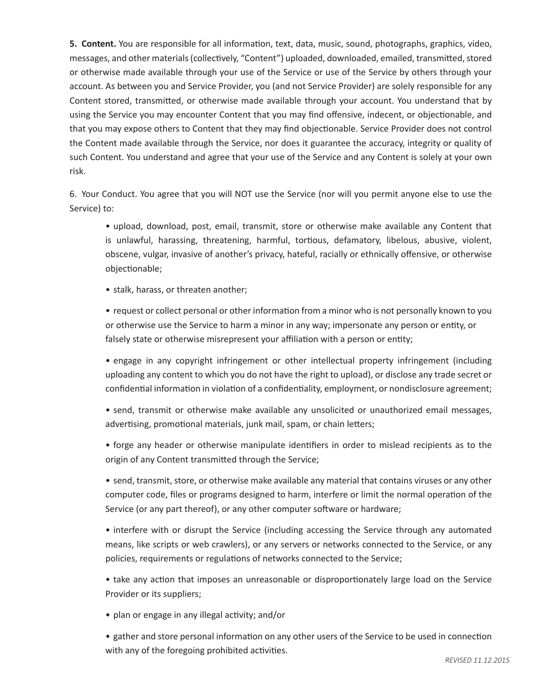**5. Content.** You are responsible for all information, text, data, music, sound, photographs, graphics, video, messages, and other materials (collectively, "Content") uploaded, downloaded, emailed, transmitted, stored or otherwise made available through your use of the Service or use of the Service by others through your account. As between you and Service Provider, you (and not Service Provider) are solely responsible for any Content stored, transmitted, or otherwise made available through your account. You understand that by using the Service you may encounter Content that you may find offensive, indecent, or objectionable, and that you may expose others to Content that they may find objectionable. Service Provider does not control the Content made available through the Service, nor does it guarantee the accuracy, integrity or quality of such Content. You understand and agree that your use of the Service and any Content is solely at your own risk.

6. Your Conduct. You agree that you will NOT use the Service (nor will you permit anyone else to use the Service) to:

• upload, download, post, email, transmit, store or otherwise make available any Content that is unlawful, harassing, threatening, harmful, tortious, defamatory, libelous, abusive, violent, obscene, vulgar, invasive of another's privacy, hateful, racially or ethnically offensive, or otherwise objectionable;

• stalk, harass, or threaten another;

• request or collect personal or other information from a minor who is not personally known to you or otherwise use the Service to harm a minor in any way; impersonate any person or entity, or falsely state or otherwise misrepresent your affiliation with a person or entity;

• engage in any copyright infringement or other intellectual property infringement (including uploading any content to which you do not have the right to upload), or disclose any trade secret or confidential information in violation of a confidentiality, employment, or nondisclosure agreement;

• send, transmit or otherwise make available any unsolicited or unauthorized email messages, advertising, promotional materials, junk mail, spam, or chain letters;

• forge any header or otherwise manipulate identifiers in order to mislead recipients as to the origin of any Content transmitted through the Service;

• send, transmit, store, or otherwise make available any material that contains viruses or any other computer code, files or programs designed to harm, interfere or limit the normal operation of the Service (or any part thereof), or any other computer software or hardware;

• interfere with or disrupt the Service (including accessing the Service through any automated means, like scripts or web crawlers), or any servers or networks connected to the Service, or any policies, requirements or regulations of networks connected to the Service;

• take any action that imposes an unreasonable or disproportionately large load on the Service Provider or its suppliers;

• plan or engage in any illegal activity; and/or

• gather and store personal information on any other users of the Service to be used in connection with any of the foregoing prohibited activities.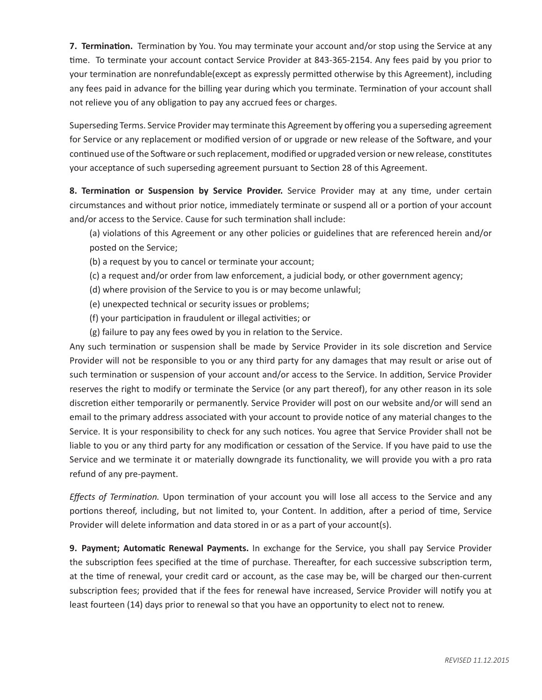**7. Termination.** Termination by You. You may terminate your account and/or stop using the Service at any time. To terminate your account contact Service Provider at 843-365-2154. Any fees paid by you prior to your termination are nonrefundable(except as expressly permitted otherwise by this Agreement), including any fees paid in advance for the billing year during which you terminate. Termination of your account shall not relieve you of any obligation to pay any accrued fees or charges.

Superseding Terms. Service Provider may terminate this Agreement by offering you a superseding agreement for Service or any replacement or modified version of or upgrade or new release of the Software, and your continued use of the Software or such replacement, modified or upgraded version or new release, constitutes your acceptance of such superseding agreement pursuant to Section 28 of this Agreement.

**8. Termination or Suspension by Service Provider.** Service Provider may at any time, under certain circumstances and without prior notice, immediately terminate or suspend all or a portion of your account and/or access to the Service. Cause for such termination shall include:

(a) violations of this Agreement or any other policies or guidelines that are referenced herein and/or posted on the Service;

(b) a request by you to cancel or terminate your account;

- (c) a request and/or order from law enforcement, a judicial body, or other government agency;
- (d) where provision of the Service to you is or may become unlawful;
- (e) unexpected technical or security issues or problems;
- (f) your participation in fraudulent or illegal activities; or
- (g) failure to pay any fees owed by you in relation to the Service.

Any such termination or suspension shall be made by Service Provider in its sole discretion and Service Provider will not be responsible to you or any third party for any damages that may result or arise out of such termination or suspension of your account and/or access to the Service. In addition, Service Provider reserves the right to modify or terminate the Service (or any part thereof), for any other reason in its sole discretion either temporarily or permanently. Service Provider will post on our website and/or will send an email to the primary address associated with your account to provide notice of any material changes to the Service. It is your responsibility to check for any such notices. You agree that Service Provider shall not be liable to you or any third party for any modification or cessation of the Service. If you have paid to use the Service and we terminate it or materially downgrade its functionality, we will provide you with a pro rata refund of any pre-payment.

*Effects of Termination.* Upon termination of your account you will lose all access to the Service and any portions thereof, including, but not limited to, your Content. In addition, after a period of time, Service Provider will delete information and data stored in or as a part of your account(s).

**9. Payment; Automatic Renewal Payments.** In exchange for the Service, you shall pay Service Provider the subscription fees specified at the time of purchase. Thereafter, for each successive subscription term, at the time of renewal, your credit card or account, as the case may be, will be charged our then-current subscription fees; provided that if the fees for renewal have increased, Service Provider will notify you at least fourteen (14) days prior to renewal so that you have an opportunity to elect not to renew.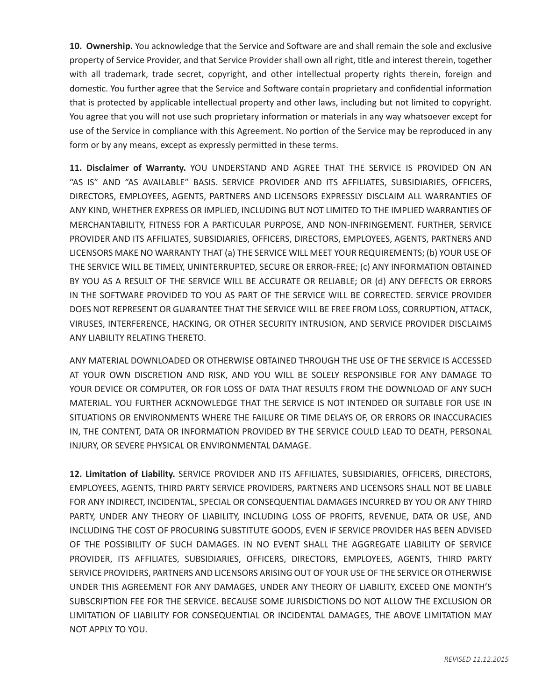**10. Ownership.** You acknowledge that the Service and Software are and shall remain the sole and exclusive property of Service Provider, and that Service Provider shall own all right, title and interest therein, together with all trademark, trade secret, copyright, and other intellectual property rights therein, foreign and domestic. You further agree that the Service and Software contain proprietary and confidential information that is protected by applicable intellectual property and other laws, including but not limited to copyright. You agree that you will not use such proprietary information or materials in any way whatsoever except for use of the Service in compliance with this Agreement. No portion of the Service may be reproduced in any form or by any means, except as expressly permitted in these terms.

**11. Disclaimer of Warranty.** YOU UNDERSTAND AND AGREE THAT THE SERVICE IS PROVIDED ON AN "AS IS" AND "AS AVAILABLE" BASIS. SERVICE PROVIDER AND ITS AFFILIATES, SUBSIDIARIES, OFFICERS, DIRECTORS, EMPLOYEES, AGENTS, PARTNERS AND LICENSORS EXPRESSLY DISCLAIM ALL WARRANTIES OF ANY KIND, WHETHER EXPRESS OR IMPLIED, INCLUDING BUT NOT LIMITED TO THE IMPLIED WARRANTIES OF MERCHANTABILITY, FITNESS FOR A PARTICULAR PURPOSE, AND NON-INFRINGEMENT. FURTHER, SERVICE PROVIDER AND ITS AFFILIATES, SUBSIDIARIES, OFFICERS, DIRECTORS, EMPLOYEES, AGENTS, PARTNERS AND LICENSORS MAKE NO WARRANTY THAT (a) THE SERVICE WILL MEET YOUR REQUIREMENTS; (b) YOUR USE OF THE SERVICE WILL BE TIMELY, UNINTERRUPTED, SECURE OR ERROR-FREE; (c) ANY INFORMATION OBTAINED BY YOU AS A RESULT OF THE SERVICE WILL BE ACCURATE OR RELIABLE; OR (d) ANY DEFECTS OR ERRORS IN THE SOFTWARE PROVIDED TO YOU AS PART OF THE SERVICE WILL BE CORRECTED. SERVICE PROVIDER DOES NOT REPRESENT OR GUARANTEE THAT THE SERVICE WILL BE FREE FROM LOSS, CORRUPTION, ATTACK, VIRUSES, INTERFERENCE, HACKING, OR OTHER SECURITY INTRUSION, AND SERVICE PROVIDER DISCLAIMS ANY LIABILITY RELATING THERETO.

ANY MATERIAL DOWNLOADED OR OTHERWISE OBTAINED THROUGH THE USE OF THE SERVICE IS ACCESSED AT YOUR OWN DISCRETION AND RISK, AND YOU WILL BE SOLELY RESPONSIBLE FOR ANY DAMAGE TO YOUR DEVICE OR COMPUTER, OR FOR LOSS OF DATA THAT RESULTS FROM THE DOWNLOAD OF ANY SUCH MATERIAL. YOU FURTHER ACKNOWLEDGE THAT THE SERVICE IS NOT INTENDED OR SUITABLE FOR USE IN SITUATIONS OR ENVIRONMENTS WHERE THE FAILURE OR TIME DELAYS OF, OR ERRORS OR INACCURACIES IN, THE CONTENT, DATA OR INFORMATION PROVIDED BY THE SERVICE COULD LEAD TO DEATH, PERSONAL INJURY, OR SEVERE PHYSICAL OR ENVIRONMENTAL DAMAGE.

**12. Limitation of Liability.** SERVICE PROVIDER AND ITS AFFILIATES, SUBSIDIARIES, OFFICERS, DIRECTORS, EMPLOYEES, AGENTS, THIRD PARTY SERVICE PROVIDERS, PARTNERS AND LICENSORS SHALL NOT BE LIABLE FOR ANY INDIRECT, INCIDENTAL, SPECIAL OR CONSEQUENTIAL DAMAGES INCURRED BY YOU OR ANY THIRD PARTY, UNDER ANY THEORY OF LIABILITY, INCLUDING LOSS OF PROFITS, REVENUE, DATA OR USE, AND INCLUDING THE COST OF PROCURING SUBSTITUTE GOODS, EVEN IF SERVICE PROVIDER HAS BEEN ADVISED OF THE POSSIBILITY OF SUCH DAMAGES. IN NO EVENT SHALL THE AGGREGATE LIABILITY OF SERVICE PROVIDER, ITS AFFILIATES, SUBSIDIARIES, OFFICERS, DIRECTORS, EMPLOYEES, AGENTS, THIRD PARTY SERVICE PROVIDERS, PARTNERS AND LICENSORS ARISING OUT OF YOUR USE OF THE SERVICE OR OTHERWISE UNDER THIS AGREEMENT FOR ANY DAMAGES, UNDER ANY THEORY OF LIABILITY, EXCEED ONE MONTH'S SUBSCRIPTION FEE FOR THE SERVICE. BECAUSE SOME JURISDICTIONS DO NOT ALLOW THE EXCLUSION OR LIMITATION OF LIABILITY FOR CONSEQUENTIAL OR INCIDENTAL DAMAGES, THE ABOVE LIMITATION MAY NOT APPLY TO YOU.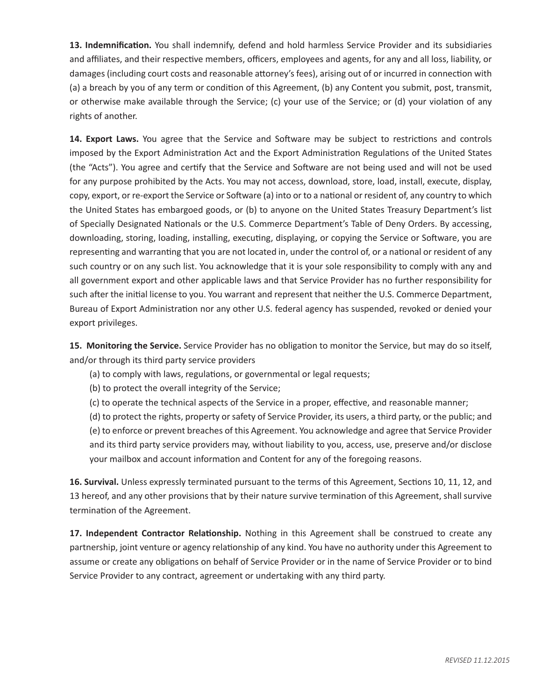**13. Indemnification.** You shall indemnify, defend and hold harmless Service Provider and its subsidiaries and affiliates, and their respective members, officers, employees and agents, for any and all loss, liability, or damages (including court costs and reasonable attorney's fees), arising out of or incurred in connection with (a) a breach by you of any term or condition of this Agreement, (b) any Content you submit, post, transmit, or otherwise make available through the Service; (c) your use of the Service; or (d) your violation of any rights of another.

**14. Export Laws.** You agree that the Service and Software may be subject to restrictions and controls imposed by the Export Administration Act and the Export Administration Regulations of the United States (the "Acts"). You agree and certify that the Service and Software are not being used and will not be used for any purpose prohibited by the Acts. You may not access, download, store, load, install, execute, display, copy, export, or re-export the Service or Software (a) into or to a national or resident of, any country to which the United States has embargoed goods, or (b) to anyone on the United States Treasury Department's list of Specially Designated Nationals or the U.S. Commerce Department's Table of Deny Orders. By accessing, downloading, storing, loading, installing, executing, displaying, or copying the Service or Software, you are representing and warranting that you are not located in, under the control of, or a national or resident of any such country or on any such list. You acknowledge that it is your sole responsibility to comply with any and all government export and other applicable laws and that Service Provider has no further responsibility for such after the initial license to you. You warrant and represent that neither the U.S. Commerce Department, Bureau of Export Administration nor any other U.S. federal agency has suspended, revoked or denied your export privileges.

**15. Monitoring the Service.** Service Provider has no obligation to monitor the Service, but may do so itself, and/or through its third party service providers

- (a) to comply with laws, regulations, or governmental or legal requests;
- (b) to protect the overall integrity of the Service;
- (c) to operate the technical aspects of the Service in a proper, effective, and reasonable manner;

(d) to protect the rights, property or safety of Service Provider, its users, a third party, or the public; and (e) to enforce or prevent breaches of this Agreement. You acknowledge and agree that Service Provider and its third party service providers may, without liability to you, access, use, preserve and/or disclose your mailbox and account information and Content for any of the foregoing reasons.

**16. Survival.** Unless expressly terminated pursuant to the terms of this Agreement, Sections 10, 11, 12, and 13 hereof, and any other provisions that by their nature survive termination of this Agreement, shall survive termination of the Agreement.

**17. Independent Contractor Relationship.** Nothing in this Agreement shall be construed to create any partnership, joint venture or agency relationship of any kind. You have no authority under this Agreement to assume or create any obligations on behalf of Service Provider or in the name of Service Provider or to bind Service Provider to any contract, agreement or undertaking with any third party.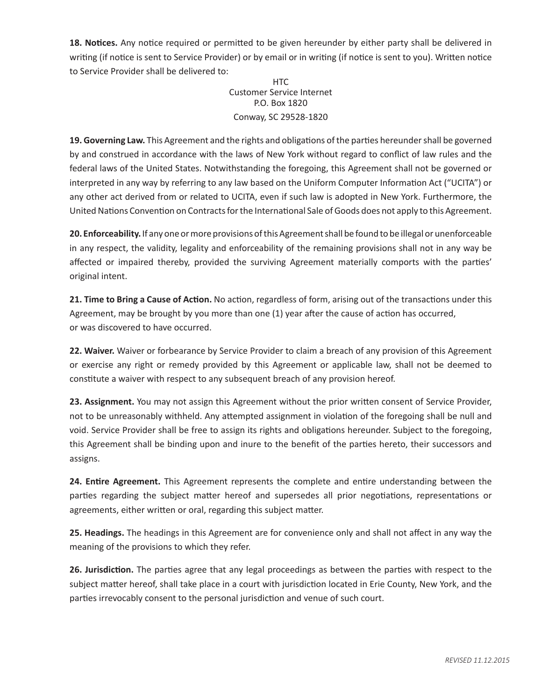**18. Notices.** Any notice required or permitted to be given hereunder by either party shall be delivered in writing (if notice is sent to Service Provider) or by email or in writing (if notice is sent to you). Written notice to Service Provider shall be delivered to:

> HTC. Customer Service Internet P.O. Box 1820 Conway, SC 29528-1820

**19. Governing Law.** This Agreement and the rights and obligations of the parties hereunder shall be governed by and construed in accordance with the laws of New York without regard to conflict of law rules and the federal laws of the United States. Notwithstanding the foregoing, this Agreement shall not be governed or interpreted in any way by referring to any law based on the Uniform Computer Information Act ("UCITA") or any other act derived from or related to UCITA, even if such law is adopted in New York. Furthermore, the United Nations Convention on Contracts for the International Sale of Goods does not apply to this Agreement.

**20. Enforceability.**If any one or more provisions of this Agreement shall be found to be illegal or unenforceable in any respect, the validity, legality and enforceability of the remaining provisions shall not in any way be affected or impaired thereby, provided the surviving Agreement materially comports with the parties' original intent.

**21. Time to Bring a Cause of Action.** No action, regardless of form, arising out of the transactions under this Agreement, may be brought by you more than one (1) year after the cause of action has occurred, or was discovered to have occurred.

**22. Waiver.** Waiver or forbearance by Service Provider to claim a breach of any provision of this Agreement or exercise any right or remedy provided by this Agreement or applicable law, shall not be deemed to constitute a waiver with respect to any subsequent breach of any provision hereof.

**23. Assignment.** You may not assign this Agreement without the prior written consent of Service Provider, not to be unreasonably withheld. Any attempted assignment in violation of the foregoing shall be null and void. Service Provider shall be free to assign its rights and obligations hereunder. Subject to the foregoing, this Agreement shall be binding upon and inure to the benefit of the parties hereto, their successors and assigns.

**24. Entire Agreement.** This Agreement represents the complete and entire understanding between the parties regarding the subject matter hereof and supersedes all prior negotiations, representations or agreements, either written or oral, regarding this subject matter.

**25. Headings.** The headings in this Agreement are for convenience only and shall not affect in any way the meaning of the provisions to which they refer.

**26. Jurisdiction.** The parties agree that any legal proceedings as between the parties with respect to the subject matter hereof, shall take place in a court with jurisdiction located in Erie County, New York, and the parties irrevocably consent to the personal jurisdiction and venue of such court.